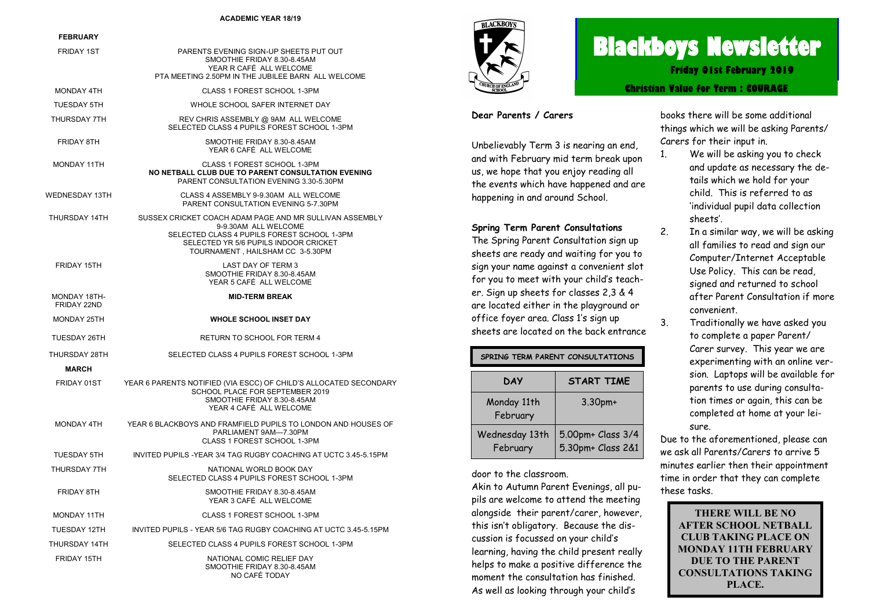#### **ACADEMIC YEAR 18/19**

#### **FEBRUARY**

| <b>FEDRUARI</b>             |                                                                                                                                                                                                             |  |
|-----------------------------|-------------------------------------------------------------------------------------------------------------------------------------------------------------------------------------------------------------|--|
| <b>FRIDAY 1ST</b>           | PARENTS EVENING SIGN-UP SHEETS PUT OUT<br>SMOOTHIE FRIDAY 8.30-8.45AM<br>YEAR R CAFÉ ALL WELCOME<br>PTA MEETING 2.50PM IN THE JUBILEE BARN ALL WELCOME                                                      |  |
| <b>MONDAY 4TH</b>           | CLASS 1 FOREST SCHOOL 1-3PM                                                                                                                                                                                 |  |
| TUESDAY 5TH                 | WHOLE SCHOOL SAFER INTERNET DAY                                                                                                                                                                             |  |
| THURSDAY 7TH                | REV CHRIS ASSEMBLY @ 9AM ALL WELCOME<br>SELECTED CLASS 4 PUPILS FOREST SCHOOL 1-3PM                                                                                                                         |  |
| <b>FRIDAY 8TH</b>           | SMOOTHIE FRIDAY 8.30-8.45AM<br>YEAR 6 CAFÉ ALL WELCOME                                                                                                                                                      |  |
| MONDAY 11TH                 | CLASS 1 FOREST SCHOOL 1-3PM<br>NO NETBALL CLUB DUE TO PARENT CONSULTATION EVENING<br>PARENT CONSULTATION EVENING 3.30-5.30PM                                                                                |  |
| WEDNESDAY 13TH              | CLASS 4 ASSEMBLY 9-9.30AM ALL WELCOME<br><b>PARENT CONSULTATION EVENING 5-7.30PM</b>                                                                                                                        |  |
| THURSDAY 14TH               | SUSSEX CRICKET COACH ADAM PAGE AND MR SULLIVAN ASSEMBLY<br>9-9.30AM ALL WELCOME<br>SELECTED CLASS 4 PUPILS FOREST SCHOOL 1-3PM<br>SELECTED YR 5/6 PUPILS INDOOR CRICKET<br>TOURNAMENT, HAILSHAM CC 3-5.30PM |  |
| FRIDAY 15TH                 | LAST DAY OF TERM 3<br>SMOOTHIE FRIDAY 8.30-8.45AM<br>YEAR 5 CAFÉ ALL WELCOME                                                                                                                                |  |
| MONDAY 18TH-<br>FRIDAY 22ND | <b>MID-TERM BREAK</b>                                                                                                                                                                                       |  |
| MONDAY 25TH                 | <b>WHOLE SCHOOL INSET DAY</b>                                                                                                                                                                               |  |
| <b>TUESDAY 26TH</b>         | RETURN TO SCHOOL FOR TERM 4                                                                                                                                                                                 |  |
| THURSDAY 28TH               | SELECTED CLASS 4 PUPILS FOREST SCHOOL 1-3PM                                                                                                                                                                 |  |
| <b>MARCH</b>                |                                                                                                                                                                                                             |  |
| FRIDAY 01ST                 | YEAR 6 PARENTS NOTIFIED (VIA ESCC) OF CHILD'S ALLOCATED SECONDARY<br>SCHOOL PLACE FOR SEPTEMBER 2019<br>SMOOTHIE FRIDAY 8.30-8.45AM<br>YEAR 4 CAFÉ ALL WELCOME                                              |  |
| MONDAY 4TH                  | YEAR 6 BLACKBOYS AND FRAMFIELD PUPILS TO LONDON AND HOUSES OF<br>PARLIAMENT 9AM-7.30PM<br>CLASS 1 FOREST SCHOOL 1-3PM                                                                                       |  |
| TUESDAY 5TH                 | INVITED PUPILS - YEAR 3/4 TAG RUGBY COACHING AT UCTC 3.45-5.15PM                                                                                                                                            |  |
| THURSDAY 7TH                | NATIONAL WORLD BOOK DAY<br>SELECTED CLASS 4 PUPILS FOREST SCHOOL 1-3PM                                                                                                                                      |  |
| <b>FRIDAY 8TH</b>           | SMOOTHIE FRIDAY 8.30-8.45AM<br>YEAR 3 CAFÉ ALL WELCOME                                                                                                                                                      |  |
| MONDAY 11TH                 | CLASS 1 FOREST SCHOOL 1-3PM                                                                                                                                                                                 |  |
| TUESDAY 12TH                | INVITED PUPILS - YEAR 5/6 TAG RUGBY COACHING AT UCTC 3.45-5.15PM                                                                                                                                            |  |
| THURSDAY 14TH               | SELECTED CLASS 4 PUPILS FOREST SCHOOL 1-3PM                                                                                                                                                                 |  |
| FRIDAY 15TH                 | NATIONAL COMIC RELIEF DAY<br>SMOOTHIE FRIDAY 8.30-8.45AM<br>NO CAFÉ TODAY                                                                                                                                   |  |



# **Blackboys Newsletter**

**Friday 01st February 2019**

**Christian Value for Term : COURAGE**

#### **Dear Parents / Carers**

Unbelievably Term 3 is nearing an end, and with February mid term break upon us, we hope that you enjoy reading all the events which have happened and are happening in and around School.

#### **Spring Term Parent Consultations**

The Spring Parent Consultation sign up sheets are ready and waiting for you to sign your name against a convenient slot for you to meet with your child's teacher. Sign up sheets for classes 2,3 & 4 are located either in the playground or office foyer area. Class 1's sign up sheets are located on the back entrance

| SPRING TERM PARENT CONSULTATIONS |                                        |  |  |
|----------------------------------|----------------------------------------|--|--|
| <b>DAY</b>                       | <b>START TIME</b>                      |  |  |
| Monday 11th<br>February          | $3.30pm+$                              |  |  |
| Wednesday 13th<br>February       | 5.00pm+ Class 3/4<br>5.30pm+ Class 2&1 |  |  |

door to the classroom.

Akin to Autumn Parent Evenings, all pupils are welcome to attend the meeting alongside their parent/carer, however, this isn't obligatory. Because the discussion is focussed on your child's learning, having the child present really helps to make a positive difference the moment the consultation has finished. As well as looking through your child's

books there will be some additional things which we will be asking Parents/ Carers for their input in.

- 1. We will be asking you to check and update as necessary the details which we hold for your child. This is referred to as 'individual pupil data collection sheets'.
- 2. In a similar way, we will be asking all families to read and sign our Computer/Internet Acceptable Use Policy. This can be read, signed and returned to school after Parent Consultation if more convenient.
- 3. Traditionally we have asked you to complete a paper Parent/ Carer survey. This year we are experimenting with an online version. Laptops will be available for parents to use during consultation times or again, this can be completed at home at your leisure.

Due to the aforementioned, please can we ask all Parents/Carers to arrive 5 minutes earlier then their appointment time in order that they can complete these tasks.

> **THERE WILL BE NO AFTER SCHOOL NETBALL CLUB TAKING PLACE ON MONDAY 11TH FEBRUARY DUE TO THE PARENT CONSULTATIONS TAKING PLACE.**